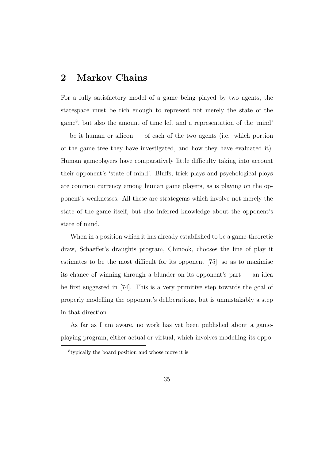# **2 Markov Chains**

For a fully satisfactory model of a game being played by two agents, the statespace must be rich enough to represent not merely the state of the game<sup>8</sup>, but also the amount of time left and a representation of the 'mind' — be it human or silicon — of each of the two agents (i.e. which portion of the game tree they have investigated, and how they have evaluated it). Human gameplayers have comparatively little difficulty taking into account their opponent's 'state of mind'. Bluffs, trick plays and psychological ploys are common currency among human game players, as is playing on the opponent's weaknesses. All these are strategems which involve not merely the state of the game itself, but also inferred knowledge about the opponent's state of mind.

When in a position which it has already established to be a game-theoretic draw, Schaeffer's draughts program, Chinook, chooses the line of play it estimates to be the most difficult for its opponent [75], so as to maximise its chance of winning through a blunder on its opponent's part — an idea he first suggested in [74]. This is a very primitive step towards the goal of properly modelling the opponent's deliberations, but is unmistakably a step in that direction.

As far as I am aware, no work has yet been published about a gameplaying program, either actual or virtual, which involves modelling its oppo-

<sup>8</sup>typically the board position and whose move it is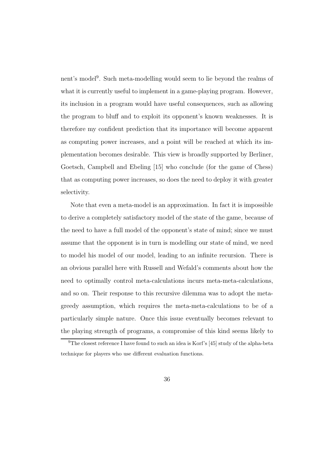nent's model<sup>9</sup>. Such meta-modelling would seem to lie beyond the realms of what it is currently useful to implement in a game-playing program. However, its inclusion in a program would have useful consequences, such as allowing the program to bluff and to exploit its opponent's known weaknesses. It is therefore my confident prediction that its importance will become apparent as computing power increases, and a point will be reached at which its implementation becomes desirable. This view is broadly supported by Berliner, Goetsch, Campbell and Ebeling [15] who conclude (for the game of Chess) that as computing power increases, so does the need to deploy it with greater selectivity.

Note that even a meta-model is an approximation. In fact it is impossible to derive a completely satisfactory model of the state of the game, because of the need to have a full model of the opponent's state of mind; since we must assume that the opponent is in turn is modelling our state of mind, we need to model his model of our model, leading to an infinite recursion. There is an obvious parallel here with Russell and Wefald's comments about how the need to optimally control meta-calculations incurs meta-meta-calculations, and so on. Their response to this recursive dilemma was to adopt the metagreedy assumption, which requires the meta-meta-calculations to be of a particularly simple nature. Once this issue eventually becomes relevant to the playing strength of programs, a compromise of this kind seems likely to

<sup>9</sup>The closest reference I have found to such an idea is Korf's [45] study of the alpha-beta technique for players who use different evaluation functions.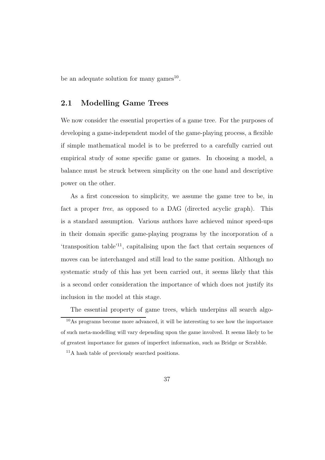be an adequate solution for many games<sup>10</sup>.

### **2.1 Modelling Game Trees**

We now consider the essential properties of a game tree. For the purposes of developing a game-independent model of the game-playing process, a flexible if simple mathematical model is to be preferred to a carefully carried out empirical study of some specific game or games. In choosing a model, a balance must be struck between simplicity on the one hand and descriptive power on the other.

As a first concession to simplicity, we assume the game tree to be, in fact a proper tree, as opposed to a DAG (directed acyclic graph). This is a standard assumption. Various authors have achieved minor speed-ups in their domain specific game-playing programs by the incorporation of a 'transposition table'<sup>11</sup>, capitalising upon the fact that certain sequences of moves can be interchanged and still lead to the same position. Although no systematic study of this has yet been carried out, it seems likely that this is a second order consideration the importance of which does not justify its inclusion in the model at this stage.

The essential property of game trees, which underpins all search algo-

 $10<sub>As</sub>$  programs become more advanced, it will be interesting to see how the importance of such meta-modelling will vary depending upon the game involved. It seems likely to be of greatest importance for games of imperfect information, such as Bridge or Scrabble.

<sup>11</sup>A hash table of previously searched positions.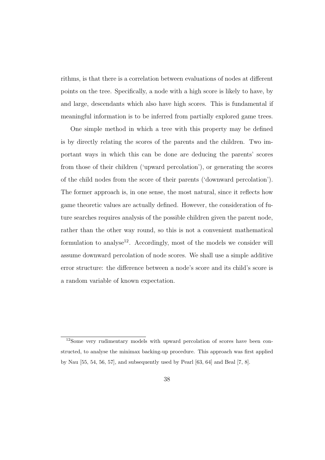rithms, is that there is a correlation between evaluations of nodes at different points on the tree. Specifically, a node with a high score is likely to have, by and large, descendants which also have high scores. This is fundamental if meaningful information is to be inferred from partially explored game trees.

One simple method in which a tree with this property may be defined is by directly relating the scores of the parents and the children. Two important ways in which this can be done are deducing the parents' scores from those of their children ('upward percolation'), or generating the scores of the child nodes from the score of their parents ('downward percolation'). The former approach is, in one sense, the most natural, since it reflects how game theoretic values are actually defined. However, the consideration of future searches requires analysis of the possible children given the parent node, rather than the other way round, so this is not a convenient mathematical formulation to analyse<sup>12</sup>. Accordingly, most of the models we consider will assume downward percolation of node scores. We shall use a simple additive error structure: the difference between a node's score and its child's score is a random variable of known expectation.

<sup>12</sup>Some very rudimentary models with upward percolation of scores have been constructed, to analyse the minimax backing-up procedure. This approach was first applied by Nau [55, 54, 56, 57], and subsequently used by Pearl [63, 64] and Beal [7, 8].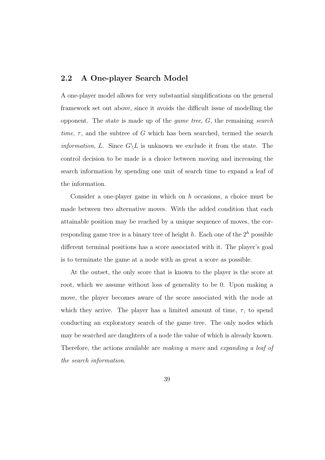### **2.2 A One-player Search Model**

A one-player model allows for very substantial simplifications on the general framework set out above, since it avoids the difficult issue of modelling the opponent. The state is made up of the *game tree*,  $G$ , the remaining *search* time,  $\tau$ , and the subtree of G which has been searched, termed the search *information, L.* Since  $G\backslash L$  is unknown we exclude it from the state. The control decision to be made is a choice between moving and increasing the search information by spending one unit of search time to expand a leaf of the information.

Consider a one-player game in which on  $h$  occasions, a choice must be made between two alternative moves. With the added condition that each attainable position may be reached by a unique sequence of moves, the corresponding game tree is a binary tree of height  $h$ . Each one of the  $2^h$  possible different terminal positions has a score associated with it. The player's goal is to terminate the game at a node with as great a score as possible.

At the outset, the only score that is known to the player is the score at root, which we assume without loss of generality to be 0. Upon making a move, the player becomes aware of the score associated with the node at which they arrive. The player has a limited amount of time,  $\tau$ , to spend conducting an exploratory search of the game tree. The only nodes which may be searched are daughters of a node the value of which is already known. Therefore, the actions available are making a move and expanding a leaf of the search information.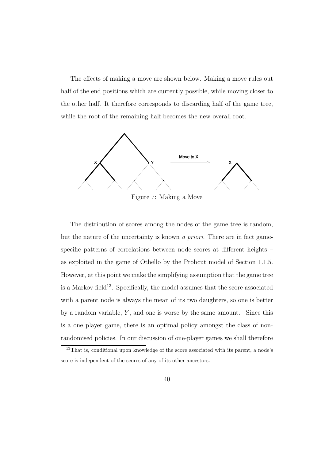The effects of making a move are shown below. Making a move rules out half of the end positions which are currently possible, while moving closer to the other half. It therefore corresponds to discarding half of the game tree, while the root of the remaining half becomes the new overall root.



The distribution of scores among the nodes of the game tree is random, but the nature of the uncertainty is known a priori. There are in fact gamespecific patterns of correlations between node scores at different heights – as exploited in the game of Othello by the Probcut model of Section 1.1.5. However, at this point we make the simplifying assumption that the game tree is a Markov field<sup>13</sup>. Specifically, the model assumes that the score associated with a parent node is always the mean of its two daughters, so one is better by a random variable,  $Y$ , and one is worse by the same amount. Since this is a one player game, there is an optimal policy amongst the class of nonrandomised policies. In our discussion of one-player games we shall therefore

<sup>&</sup>lt;sup>13</sup>That is, conditional upon knowledge of the score associated with its parent, a node's score is independent of the scores of any of its other ancestors.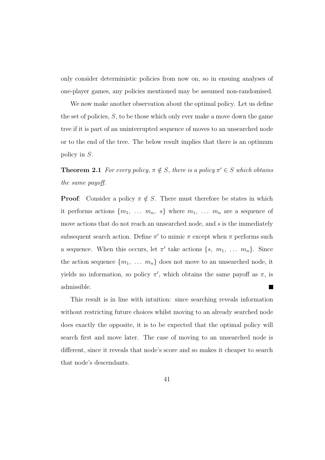only consider deterministic policies from now on, so in ensuing analyses of one-player games, any policies mentioned may be assumed non-randomised.

We now make another observation about the optimal policy. Let us define the set of policies, S, to be those which only ever make a move down the game tree if it is part of an uninterrupted sequence of moves to an unsearched node or to the end of the tree. The below result implies that there is an optimum policy in S.

**Theorem 2.1** For every policy,  $\pi \notin S$ , there is a policy  $\pi' \in S$  which obtains the same payoff.

**Proof:** Consider a policy  $\pi \notin S$ . There must therefore be states in which it performs actions  $\{m_1, \ldots, m_n, s\}$  where  $m_1, \ldots, m_n$  are a sequence of move actions that do not reach an unsearched node, and  $s$  is the immediately subsequent search action. Define  $\pi'$  to mimic  $\pi$  except when  $\pi$  performs such a sequence. When this occurs, let  $\pi'$  take actions  $\{s, m_1, \ldots, m_n\}$ . Since the action sequence  $\{m_1, \ldots, m_n\}$  does not move to an unsearched node, it yields no information, so policy  $\pi'$ , which obtains the same payoff as  $\pi$ , is admissible. **In the first** 

This result is in line with intuition: since searching reveals information without restricting future choices whilst moving to an already searched node does exactly the opposite, it is to be expected that the optimal policy will search first and move later. The case of moving to an unsearched node is different, since it reveals that node's score and so makes it cheaper to search that node's descendants.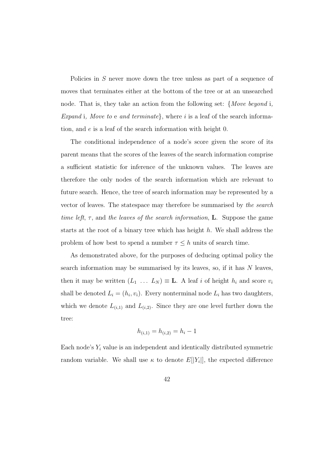Policies in S never move down the tree unless as part of a sequence of moves that terminates either at the bottom of the tree or at an unsearched node. That is, they take an action from the following set: {Move beyond i, Expand i, Move to e and terminate, where i is a leaf of the search information, and e is a leaf of the search information with height 0.

The conditional independence of a node's score given the score of its parent means that the scores of the leaves of the search information comprise a sufficient statistic for inference of the unknown values. The leaves are therefore the only nodes of the search information which are relevant to future search. Hence, the tree of search information may be represented by a vector of leaves. The statespace may therefore be summarised by the search time left,  $\tau$ , and the leaves of the search information, **L**. Suppose the game starts at the root of a binary tree which has height  $h$ . We shall address the problem of how best to spend a number  $\tau \leq h$  units of search time.

As demonstrated above, for the purposes of deducing optimal policy the search information may be summarised by its leaves, so, if it has N leaves, then it may be written  $(L_1 \ldots L_N) \equiv \mathbf{L}$ . A leaf i of height  $h_i$  and score  $v_i$ shall be denoted  $L_i = (h_i, v_i)$ . Every nonterminal node  $L_i$  has two daughters, which we denote  $L_{(i,1)}$  and  $L_{(i,2)}$ . Since they are one level further down the tree:

$$
h_{(i,1)} = h_{(i,2)} = h_i - 1
$$

Each node's  $Y_i$  value is an independent and identically distributed symmetric random variable. We shall use  $\kappa$  to denote  $E[|Y_i|]$ , the expected difference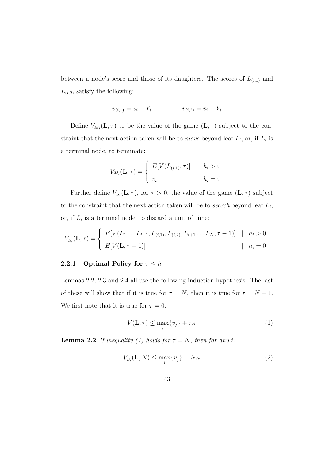between a node's score and those of its daughters. The scores of  $L_{(i,1)}$  and  $L_{(i,2)}$  satisfy the following:

$$
v_{(i,1)} = v_i + Y_i \qquad \qquad v_{(i,2)} = v_i - Y_i
$$

Define  $V_{M_i}(\mathbf{L}, \tau)$  to be the value of the game  $(\mathbf{L}, \tau)$  subject to the constraint that the next action taken will be to *move* beyond leaf  $L_i$ , or, if  $L_i$  is a terminal node, to terminate:

$$
V_{M_i}(\mathbf{L}, \tau) = \begin{cases} E[V(L_{(i,1)}, \tau)] & | & h_i > 0 \\ v_i & | & h_i = 0 \end{cases}
$$

Further define  $V_{S_i}(\mathbf{L}, \tau)$ , for  $\tau > 0$ , the value of the game  $(\mathbf{L}, \tau)$  subject to the constraint that the next action taken will be to *search* beyond leaf  $L_i$ , or, if  $L_i$  is a terminal node, to discard a unit of time:

$$
V_{S_i}(\mathbf{L}, \tau) = \begin{cases} E[V(L_1 \dots L_{i-1}, L_{(i,1)}, L_{(i,2)}, L_{i+1} \dots L_N, \tau - 1)] & | h_i > 0 \\ E[V(\mathbf{L}, \tau - 1)] & | h_i = 0 \end{cases}
$$

## **2.2.1** Optimal Policy for  $\tau \leq h$

Lemmas 2.2, 2.3 and 2.4 all use the following induction hypothesis. The last of these will show that if it is true for  $\tau = N$ , then it is true for  $\tau = N + 1$ . We first note that it is true for  $\tau = 0$ .

$$
V(\mathbf{L}, \tau) \le \max_{j} \{v_j\} + \tau \kappa \tag{1}
$$

**Lemma 2.2** If inequality (1) holds for  $\tau = N$ , then for any i:

$$
V_{S_i}(\mathbf{L}, N) \le \max_i \{v_j\} + N\kappa \tag{2}
$$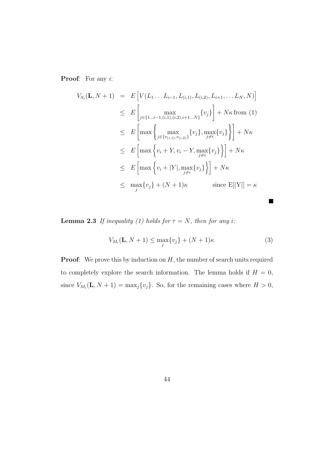Proof: For any *i*:

$$
V_{S_i}(\mathbf{L}, N + 1) = E\left[V(L_1 \dots L_{i-1}, L_{(i,1)}, L_{(i,2)}, L_{i+1}, \dots L_N, N)\right]
$$
  
\n
$$
\leq E\left[\max_{j \in \{1 \dots i-1, (i,1), (i,2), i+1 \dots N\}} \{v_j\}\right] + N\kappa \text{ from (1)}
$$
  
\n
$$
\leq E\left[\max\left\{\max_{j \in \{v_{(i,1)}, v_{(i,2)}\}} \{v_j\}, \max_{j \neq i} \{v_j\}\right\}\right] + N\kappa
$$
  
\n
$$
\leq E\left[\max\left\{v_i + Y, v_i - Y, \max_{j \neq i} \{v_j\}\right\}\right] + N\kappa
$$
  
\n
$$
\leq E\left[\max\left\{v_i + |Y|, \max_{j \neq i} \{v_j\}\right\}\right] + N\kappa
$$
  
\n
$$
\leq \max_{j} \{v_j\} + (N + 1)\kappa \quad \text{since } E[|Y|] = \kappa
$$

**Lemma 2.3** If inequality (1) holds for  $\tau = N$ , then for any i:

$$
V_{M_i}(\mathbf{L}, N+1) \le \max_j \{v_j\} + (N+1)\kappa \tag{3}
$$

 $\blacksquare$ 

**Proof:** We prove this by induction on H, the number of search units required to completely explore the search information. The lemma holds if  $H = 0$ , since  $V_{M_i}(\mathbf{L}, N+1) = \max_j \{v_j\}$ . So, for the remaining cases where  $H > 0$ ,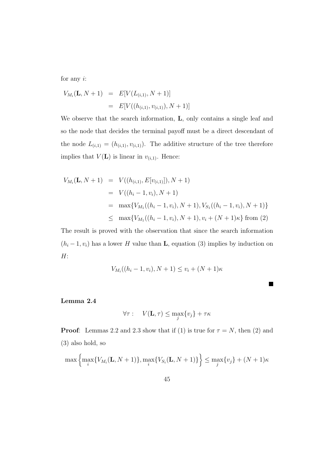for any  $i$ :

$$
V_{M_i}(\mathbf{L}, N+1) = E[V(L_{(i,1)}, N+1)]
$$
  
=  $E[V((h_{(i,1)}, v_{(i,1)}), N+1)]$ 

We observe that the search information, **L**, only contains a single leaf and so the node that decides the terminal payoff must be a direct descendant of the node  $L_{(i,1)} = (h_{(i,1)}, v_{(i,1)})$ . The additive structure of the tree therefore implies that  $V(\mathbf{L})$  is linear in  $v_{(i,1)}$ . Hence:

$$
V_{M_i}(\mathbf{L}, N+1) = V((h_{(i,1)}, E[v_{(i,1)}]), N+1)
$$
  
=  $V((h_i - 1, v_i), N+1)$   
=  $\max\{V_{M_1}((h_i - 1, v_i), N+1), V_{S_1}((h_i - 1, v_i), N+1)\}\$   
 $\leq \max\{V_{M_1}((h_i - 1, v_i), N+1), v_i + (N+1)\kappa\} \text{ from (2)}$ 

The result is proved with the observation that since the search information  $(h_i - 1, v_i)$  has a lower H value than **L**, equation (3) implies by induction on  $H$ :

$$
V_{M_i}((h_i - 1, v_i), N + 1) \le v_i + (N + 1)\kappa
$$

ш

#### **Lemma 2.4**

$$
\forall \tau: \quad V(\mathbf{L}, \tau) \leq \max_{j} \{v_j\} + \tau \kappa
$$

**Proof**: Lemmas 2.2 and 2.3 show that if (1) is true for  $\tau = N$ , then (2) and (3) also hold, so

$$
\max \left\{ \max_{i} \{ V_{M_i}(\mathbf{L}, N + 1) \}, \max_{i} \{ V_{S_i}(\mathbf{L}, N + 1) \} \right\} \le \max_{j} \{ v_j \} + (N + 1)\kappa
$$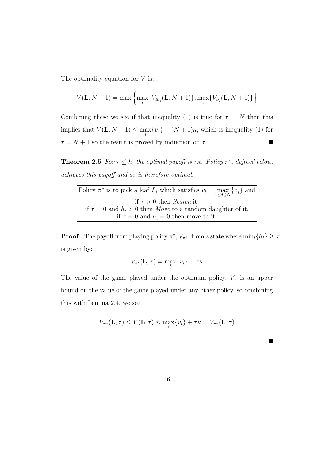The optimality equation for  $V$  is:

$$
V(\mathbf{L}, N+1) = \max \left\{ \max_{i} \{ V_{M_i}(\mathbf{L}, N+1) \}, \max_{i} \{ V_{S_i}(\mathbf{L}, N+1) \} \right\}
$$

Combining these we see if that inequality (1) is true for  $\tau = N$  then this implies that  $V(\mathbf{L}, N+1) \leq \max_{i} \{v_i\} + (N+1)\kappa$ , which is inequality (1) for  $\tau = N + 1$  so the result is proved by induction on  $\tau$ .  $\blacksquare$ 

**Theorem 2.5** For  $\tau \leq h$ , the optimal payoff is  $\tau \kappa$ . Policy  $\pi^*$ , defined below, achieves this payoff and so is therefore optimal.

Policy  $\pi^*$  is to pick a leaf  $L_i$  which satisfies  $v_i = \max_{1 \leq j \leq N} \{v_j\}$  and if  $\tau > 0$  then Search it, if  $\tau = 0$  and  $h_i > 0$  then Move to a random daughter of it, if  $\tau = 0$  and  $h_i = 0$  then move to it.

**Proof**: The payoff from playing policy  $\pi^*$ ,  $V_{\pi^*}$ , from a state where  $\min_i\{h_i\} \geq \tau$ is given by:

$$
V_{\pi^*}(\mathbf{L}, \tau) = \max_i \{v_i\} + \tau \kappa
$$

The value of the game played under the optimum policy,  $V$ , is an upper bound on the value of the game played under any other policy, so combining this with Lemma 2.4, we see:

$$
V_{\pi^*}(\mathbf{L}, \tau) \le V(\mathbf{L}, \tau) \le \max_i \{v_i\} + \tau \kappa = V_{\pi^*}(\mathbf{L}, \tau)
$$

П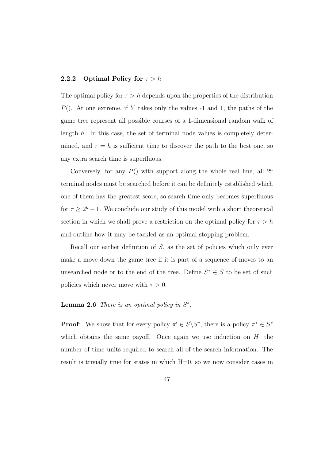### **2.2.2** Optimal Policy for  $\tau > h$

The optimal policy for  $\tau > h$  depends upon the properties of the distribution  $P()$ . At one extreme, if Y takes only the values -1 and 1, the paths of the game tree represent all possible courses of a 1-dimensional random walk of length  $h$ . In this case, the set of terminal node values is completely determined, and  $\tau = h$  is sufficient time to discover the path to the best one, so any extra search time is superfluous.

Conversely, for any  $P()$  with support along the whole real line, all  $2<sup>h</sup>$ terminal nodes must be searched before it can be definitely established which one of them has the greatest score, so search time only becomes superfluous for  $\tau \geq 2^h - 1$ . We conclude our study of this model with a short theoretical section in which we shall prove a restriction on the optimal policy for  $\tau > h$ and outline how it may be tackled as an optimal stopping problem.

Recall our earlier definition of  $S$ , as the set of policies which only ever make a move down the game tree if it is part of a sequence of moves to an unsearched node or to the end of the tree. Define  $S^* \in S$  to be set of such policies which never move with  $\tau > 0$ .

#### **Lemma 2.6** There is an optimal policy in  $S^*$ .

**Proof:** We show that for every policy  $\pi' \in S \backslash S^*$ , there is a policy  $\pi^* \in S^*$ which obtains the same payoff. Once again we use induction on  $H$ , the number of time units required to search all of the search information. The result is trivially true for states in which H=0, so we now consider cases in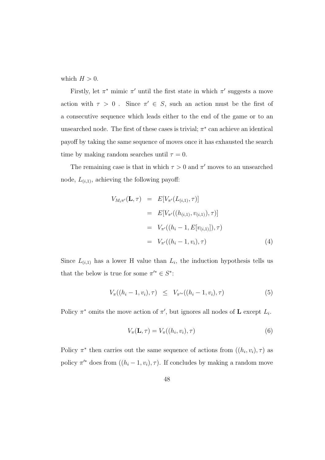which  $H > 0$ .

Firstly, let  $\pi^*$  mimic  $\pi'$  until the first state in which  $\pi'$  suggests a move action with  $\tau > 0$ . Since  $\pi' \in S$ , such an action must be the first of a consecutive sequence which leads either to the end of the game or to an unsearched node. The first of these cases is trivial;  $\pi^*$  can achieve an identical payoff by taking the same sequence of moves once it has exhausted the search time by making random searches until  $\tau = 0$ .

The remaining case is that in which  $\tau > 0$  and  $\pi'$  moves to an unsearched node,  $L_{(i,1)}$ , achieving the following payoff:

$$
V_{M_i\pi'}(\mathbf{L}, \tau) = E[V_{\pi'}(L_{(i,1)}, \tau)]
$$
  
\n
$$
= E[V_{\pi'}((h_{(i,1)}, v_{(i,1)}), \tau)]
$$
  
\n
$$
= V_{\pi'}((h_i - 1, E[v_{(i,1)}]), \tau)
$$
  
\n
$$
= V_{\pi'}((h_i - 1, v_i), \tau)
$$
  
\n(4)

Since  $L_{(i,1)}$  has a lower H value than  $L_i$ , the induction hypothesis tells us that the below is true for some  $\pi'^* \in S^*$ :

$$
V_{\pi}((h_i-1, v_i), \tau) \leq V_{\pi'^{*}}((h_i-1, v_i), \tau) \tag{5}
$$

Policy  $\pi^*$  omits the move action of  $\pi'$ , but ignores all nodes of **L** except  $L_i$ .

$$
V_{\pi}(\mathbf{L}, \tau) = V_{\pi}((h_i, v_i), \tau)
$$
\n(6)

Policy  $\pi^*$  then carries out the same sequence of actions from  $((h_i, v_i), \tau)$  as policy  $\pi^{\prime*}$  does from  $((h_i - 1, v_i), \tau)$ . If concludes by making a random move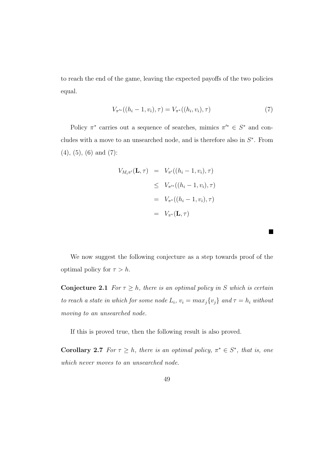to reach the end of the game, leaving the expected payoffs of the two policies equal.

$$
V_{\pi'^*}((h_i - 1, v_i), \tau) = V_{\pi^*}((h_i, v_i), \tau)
$$
\n<sup>(7)</sup>

 $\blacksquare$ 

Policy  $\pi^*$  carries out a sequence of searches, mimics  $\pi'^* \in S^*$  and concludes with a move to an unsearched node, and is therefore also in  $S^*$ . From (4), (5), (6) and (7):

$$
V_{M_i \pi'}(\mathbf{L}, \tau) = V_{\pi'}((h_i - 1, v_i), \tau)
$$
  
\n
$$
\leq V_{\pi'^*}((h_i - 1, v_i), \tau)
$$
  
\n
$$
= V_{\pi^*}((h_i - 1, v_i), \tau)
$$
  
\n
$$
= V_{\pi^*}(\mathbf{L}, \tau)
$$

We now suggest the following conjecture as a step towards proof of the optimal policy for  $\tau > h$ .

**Conjecture 2.1** For  $\tau \geq h$ , there is an optimal policy in S which is certain to reach a state in which for some node  $L_i$ ,  $v_i = max_j \{v_j\}$  and  $\tau = h_i$  without moving to an unsearched node.

If this is proved true, then the following result is also proved.

**Corollary 2.7** For  $\tau \geq h$ , there is an optimal policy,  $\pi^* \in S^*$ , that is, one which never moves to an unsearched node.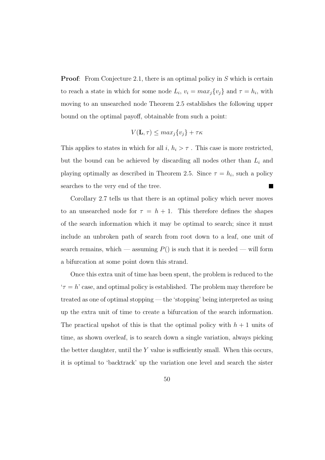**Proof:** From Conjecture 2.1, there is an optimal policy in S which is certain to reach a state in which for some node  $L_i$ ,  $v_i = max_j \{v_j\}$  and  $\tau = h_i$ , with moving to an unsearched node Theorem 2.5 establishes the following upper bound on the optimal payoff, obtainable from such a point:

$$
V(\mathbf{L}, \tau) \le \max_j \{v_j\} + \tau \kappa
$$

This applies to states in which for all  $i, h_i > \tau$ . This case is more restricted, but the bound can be achieved by discarding all nodes other than  $L_i$  and playing optimally as described in Theorem 2.5. Since  $\tau = h_i$ , such a policy searches to the very end of the tree. **Includes** 

Corollary 2.7 tells us that there is an optimal policy which never moves to an unsearched node for  $\tau = h + 1$ . This therefore defines the shapes of the search information which it may be optimal to search; since it must include an unbroken path of search from root down to a leaf, one unit of search remains, which — assuming  $P()$  is such that it is needed — will form a bifurcation at some point down this strand.

Once this extra unit of time has been spent, the problem is reduced to the  $\tau = h'$  case, and optimal policy is established. The problem may therefore be treated as one of optimal stopping — the 'stopping' being interpreted as using up the extra unit of time to create a bifurcation of the search information. The practical upshot of this is that the optimal policy with  $h + 1$  units of time, as shown overleaf, is to search down a single variation, always picking the better daughter, until the  $Y$  value is sufficiently small. When this occurs, it is optimal to 'backtrack' up the variation one level and search the sister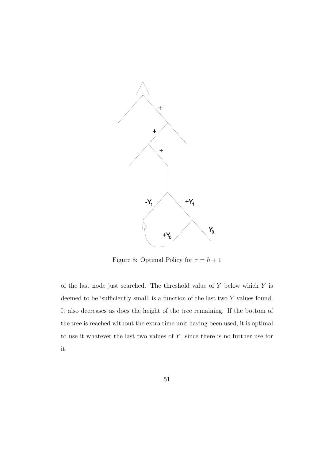

Figure 8: Optimal Policy for  $\tau = h + 1$ 

of the last node just searched. The threshold value of  $Y$  below which  $Y$  is deemed to be 'sufficiently small' is a function of the last two Y values found. It also decreases as does the height of the tree remaining. If the bottom of the tree is reached without the extra time unit having been used, it is optimal to use it whatever the last two values of  $Y$ , since there is no further use for it.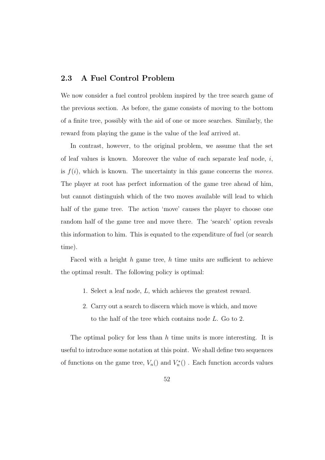#### **2.3 A Fuel Control Problem**

We now consider a fuel control problem inspired by the tree search game of the previous section. As before, the game consists of moving to the bottom of a finite tree, possibly with the aid of one or more searches. Similarly, the reward from playing the game is the value of the leaf arrived at.

In contrast, however, to the original problem, we assume that the set of leaf values is known. Moreover the value of each separate leaf node,  $i$ , is  $f(i)$ , which is known. The uncertainty in this game concerns the *moves*. The player at root has perfect information of the game tree ahead of him, but cannot distinguish which of the two moves available will lead to which half of the game tree. The action 'move' causes the player to choose one random half of the game tree and move there. The 'search' option reveals this information to him. This is equated to the expenditure of fuel (or search time).

Faced with a height  $h$  game tree,  $h$  time units are sufficient to achieve the optimal result. The following policy is optimal:

- 1. Select a leaf node, L, which achieves the greatest reward.
- 2. Carry out a search to discern which move is which, and move to the half of the tree which contains node L. Go to 2.

The optimal policy for less than  $h$  time units is more interesting. It is useful to introduce some notation at this point. We shall define two sequences of functions on the game tree,  $V_n()$  and  $V_n^*()$ . Each function accords values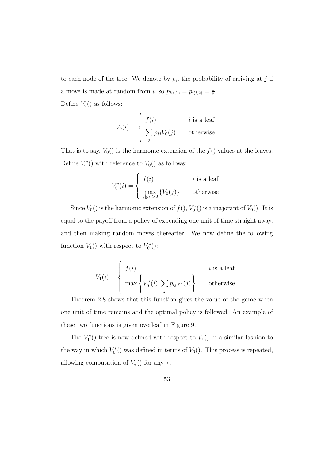to each node of the tree. We denote by  $p_{ij}$  the probability of arriving at j if a move is made at random from *i*, so  $p_{i(i,1)} = p_{i(i,2)} = \frac{1}{2}$ . Define  $V_0()$  as follows:

$$
V_0(i) = \begin{cases} f(i) & | & i \text{ is a leaf} \\ \sum_j p_{ij} V_0(j) & | & \text{otherwise} \end{cases}
$$

That is to say,  $V_0()$  is the harmonic extension of the  $f()$  values at the leaves. Define  $V_0^*$ () with reference to  $V_0$ () as follows:

$$
V_0^*(i) = \begin{cases} f(i) & |i \text{ is a leaf} \\ \max_{j|p_{ij}>0} \{V_0(j)\} & | \text{ otherwise} \end{cases}
$$

Since  $V_0()$  is the harmonic extension of  $f()$ ,  $V_0^*()$  is a majorant of  $V_0()$ . It is equal to the payoff from a policy of expending one unit of time straight away, and then making random moves thereafter. We now define the following function  $V_1()$  with respect to  $V_0^*()$ :

$$
V_1(i) = \begin{cases} f(i) & |i \text{ is a leaf} \\ \max \left\{ V_0^*(i), \sum_j p_{ij} V_1(j) \right\} & | \text{ otherwise} \end{cases}
$$

Theorem 2.8 shows that this function gives the value of the game when one unit of time remains and the optimal policy is followed. An example of these two functions is given overleaf in Figure 9.

The  $V_1^*$ () tree is now defined with respect to  $V_1$ () in a similar fashion to the way in which  $V_0^*()$  was defined in terms of  $V_0()$ . This process is repeated, allowing computation of  $V_{\tau}$ () for any  $\tau$ .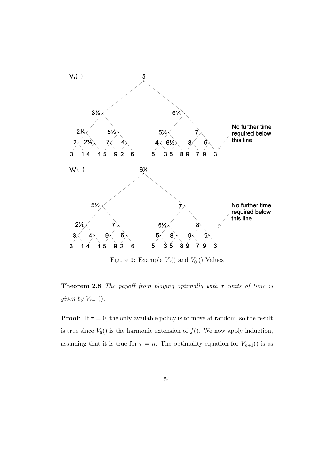

Figure 9: Example  $V_0()$  and  $V_0^*()$  Values

**Theorem 2.8** The payoff from playing optimally with  $\tau$  units of time is given by  $V_{\tau+1}$ ().

**Proof:** If  $\tau = 0$ , the only available policy is to move at random, so the result is true since  $V_0()$  is the harmonic extension of  $f()$ . We now apply induction, assuming that it is true for  $\tau = n$ . The optimality equation for  $V_{n+1}$ () is as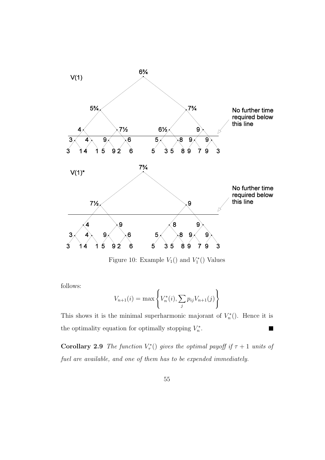

Figure 10: Example  $V_1()$  and  $V_1^*()$  Values

follows:

$$
V_{n+1}(i) = \max \left\{ V_n^*(i), \sum_j p_{ij} V_{n+1}(j) \right\}
$$

This shows it is the minimal superharmonic majorant of  $V_n^*()$ . Hence it is the optimality equation for optimally stopping  $V_n^*$ .  $\blacksquare$ 

**Corollary 2.9** The function  $V^*_{\tau}()$  gives the optimal payoff if  $\tau + 1$  units of fuel are available, and one of them has to be expended immediately.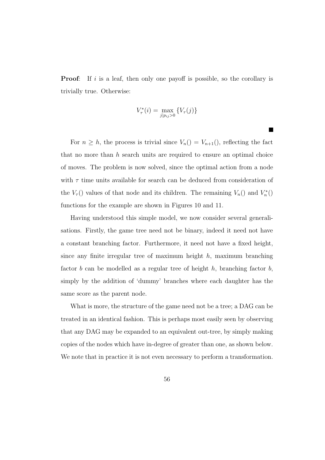**Proof:** If i is a leaf, then only one payoff is possible, so the corollary is trivially true. Otherwise:

$$
V_{\tau}^*(i) = \max_{j|p_{ij}>0} \{ V_{\tau}(j) \}
$$

**The Co** 

For  $n \geq h$ , the process is trivial since  $V_n() = V_{n+1}($ , reflecting the fact that no more than  $h$  search units are required to ensure an optimal choice of moves. The problem is now solved, since the optimal action from a node with  $\tau$  time units available for search can be deduced from consideration of the  $V_{\tau}$ () values of that node and its children. The remaining  $V_n()$  and  $V_n^*()$ functions for the example are shown in Figures 10 and 11.

Having understood this simple model, we now consider several generalisations. Firstly, the game tree need not be binary, indeed it need not have a constant branching factor. Furthermore, it need not have a fixed height, since any finite irregular tree of maximum height  $h$ , maximum branching factor  $b$  can be modelled as a regular tree of height  $h$ , branching factor  $b$ , simply by the addition of 'dummy' branches where each daughter has the same score as the parent node.

What is more, the structure of the game need not be a tree; a DAG can be treated in an identical fashion. This is perhaps most easily seen by observing that any DAG may be expanded to an equivalent out-tree, by simply making copies of the nodes which have in-degree of greater than one, as shown below. We note that in practice it is not even necessary to perform a transformation.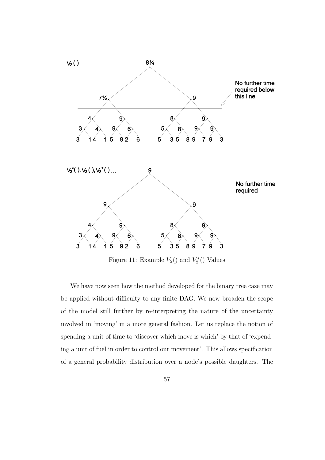

Figure 11: Example  $V_2()$  and  $V_2^*()$  Values

We have now seen how the method developed for the binary tree case may be applied without difficulty to any finite DAG. We now broaden the scope of the model still further by re-interpreting the nature of the uncertainty involved in 'moving' in a more general fashion. Let us replace the notion of spending a unit of time to 'discover which move is which' by that of 'expending a unit of fuel in order to control our movement'. This allows specification of a general probability distribution over a node's possible daughters. The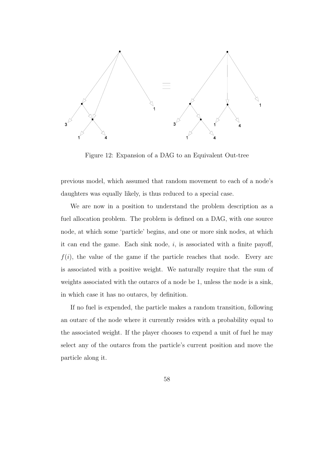

Figure 12: Expansion of a DAG to an Equivalent Out-tree

previous model, which assumed that random movement to each of a node's daughters was equally likely, is thus reduced to a special case.

We are now in a position to understand the problem description as a fuel allocation problem. The problem is defined on a DAG, with one source node, at which some 'particle' begins, and one or more sink nodes, at which it can end the game. Each sink node,  $i$ , is associated with a finite payoff,  $f(i)$ , the value of the game if the particle reaches that node. Every arc is associated with a positive weight. We naturally require that the sum of weights associated with the outarcs of a node be 1, unless the node is a sink, in which case it has no outarcs, by definition.

If no fuel is expended, the particle makes a random transition, following an outarc of the node where it currently resides with a probability equal to the associated weight. If the player chooses to expend a unit of fuel he may select any of the outarcs from the particle's current position and move the particle along it.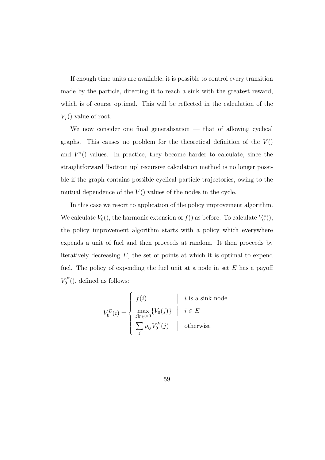If enough time units are available, it is possible to control every transition made by the particle, directing it to reach a sink with the greatest reward, which is of course optimal. This will be reflected in the calculation of the  $V_{\tau}$ () value of root.

We now consider one final generalisation  $-$  that of allowing cyclical graphs. This causes no problem for the theoretical definition of the  $V()$ and  $V^*($ ) values. In practice, they become harder to calculate, since the straightforward 'bottom up' recursive calculation method is no longer possible if the graph contains possible cyclical particle trajectories, owing to the mutual dependence of the  $V()$  values of the nodes in the cycle.

In this case we resort to application of the policy improvement algorithm. We calculate  $V_0($ ), the harmonic extension of  $f()$  as before. To calculate  $V_0^*()$ , the policy improvement algorithm starts with a policy which everywhere expends a unit of fuel and then proceeds at random. It then proceeds by iteratively decreasing  $E$ , the set of points at which it is optimal to expend fuel. The policy of expending the fuel unit at a node in set  $E$  has a payoff  $V_0^E()$ , defined as follows:

$$
V_0^E(i) = \begin{cases} f(i) & | & i \text{ is a sink node} \\ \max_{j|p_{ij}>0} \{V_0(j)\} & | & i \in E \\ \sum_j p_{ij} V_0^E(j) & | & \text{otherwise} \end{cases}
$$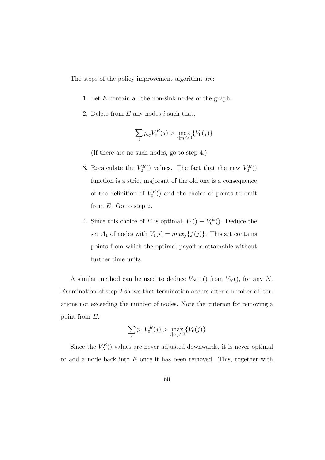The steps of the policy improvement algorithm are:

- 1. Let E contain all the non-sink nodes of the graph.
- 2. Delete from  $E$  any nodes  $i$  such that:

$$
\sum_{j} p_{ij} V_0^E(j) > \max_{j|p_{ij}>0} \{V_0(j)\}
$$

(If there are no such nodes, go to step 4.)

- 3. Recalculate the  $V_0^E()$  values. The fact that the new  $V_0^E()$ function is a strict majorant of the old one is a consequence of the definition of  $V_0^E()$  and the choice of points to omit from E. Go to step 2.
- 4. Since this choice of E is optimal,  $V_1() \equiv V_0^E()$ . Deduce the set  $A_1$  of nodes with  $V_1(i) = max_j {f(j)}$ . This set contains points from which the optimal payoff is attainable without further time units.

A similar method can be used to deduce  $V_{N+1}$ () from  $V_N$ (), for any N. Examination of step 2 shows that termination occurs after a number of iterations not exceeding the number of nodes. Note the criterion for removing a point from E:

$$
\sum_{j} p_{ij} V_0^E(j) > \max_{j|p_{ij}>0} \{V_0(j)\}
$$

Since the  $V_N^E()$  values are never adjusted downwards, it is never optimal to add a node back into  $E$  once it has been removed. This, together with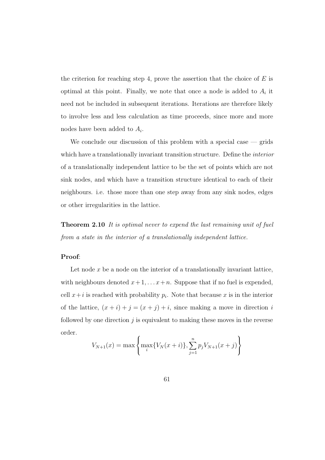the criterion for reaching step 4, prove the assertion that the choice of  $E$  is optimal at this point. Finally, we note that once a node is added to  $A_i$  it need not be included in subsequent iterations. Iterations are therefore likely to involve less and less calculation as time proceeds, since more and more nodes have been added to  $A_i$ .

We conclude our discussion of this problem with a special case  $-$  grids which have a translationally invariant transition structure. Define the *interior* of a translationally independent lattice to be the set of points which are not sink nodes, and which have a transition structure identical to each of their neighbours. i.e. those more than one step away from any sink nodes, edges or other irregularities in the lattice.

**Theorem 2.10** It is optimal never to expend the last remaining unit of fuel from a state in the interior of a translationally independent lattice.

#### **Proof**:

Let node x be a node on the interior of a translationally invariant lattice, with neighbours denoted  $x + 1, \ldots, x + n$ . Suppose that if no fuel is expended, cell  $x+i$  is reached with probability  $p_i$ . Note that because x is in the interior of the lattice,  $(x + i) + j = (x + j) + i$ , since making a move in direction i followed by one direction  $j$  is equivalent to making these moves in the reverse order.

$$
V_{N+1}(x) = \max \left\{ \max_{i} \{ V_N(x+i) \}, \sum_{j=1}^{n} p_j V_{N+1}(x+j) \right\}
$$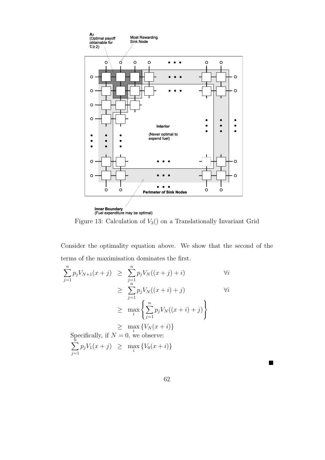

Figure 13: Calculation of  $V_3()$  on a Translationally Invariant Grid

Consider the optimality equation above. We show that the second of the terms of the maximisation dominates the first.

$$
\sum_{j=1}^{n} p_j V_{N+1}(x+j) \geq \sum_{j=1}^{n} p_j V_N((x+j)+i) \qquad \forall i
$$
  
\n
$$
\geq \sum_{j=1}^{n} p_j V_N((x+i)+j) \qquad \forall i
$$
  
\n
$$
\geq \max_{i} \left\{ \sum_{j=1}^{n} p_j V_N((x+i)+j) \right\}
$$
  
\n
$$
\geq \max_{i} \left\{ V_N(x+i) \right\}
$$
  
\nSpecifically, if  $N = 0$ , we observe:  
\n
$$
\sum_{j=1}^{n} p_j V_1(x+j) \geq \max_{i} \left\{ V_0(x+i) \right\}
$$

 $\blacksquare$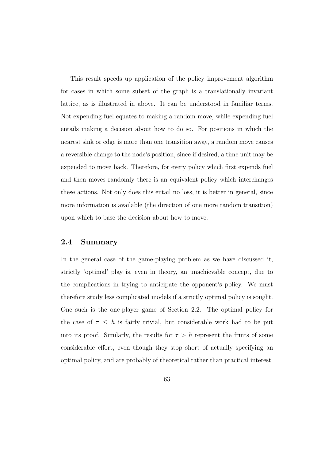This result speeds up application of the policy improvement algorithm for cases in which some subset of the graph is a translationally invariant lattice, as is illustrated in above. It can be understood in familiar terms. Not expending fuel equates to making a random move, while expending fuel entails making a decision about how to do so. For positions in which the nearest sink or edge is more than one transition away, a random move causes a reversible change to the node's position, since if desired, a time unit may be expended to move back. Therefore, for every policy which first expends fuel and then moves randomly there is an equivalent policy which interchanges these actions. Not only does this entail no loss, it is better in general, since more information is available (the direction of one more random transition) upon which to base the decision about how to move.

### **2.4 Summary**

In the general case of the game-playing problem as we have discussed it, strictly 'optimal' play is, even in theory, an unachievable concept, due to the complications in trying to anticipate the opponent's policy. We must therefore study less complicated models if a strictly optimal policy is sought. One such is the one-player game of Section 2.2. The optimal policy for the case of  $\tau \leq h$  is fairly trivial, but considerable work had to be put into its proof. Similarly, the results for  $\tau > h$  represent the fruits of some considerable effort, even though they stop short of actually specifying an optimal policy, and are probably of theoretical rather than practical interest.